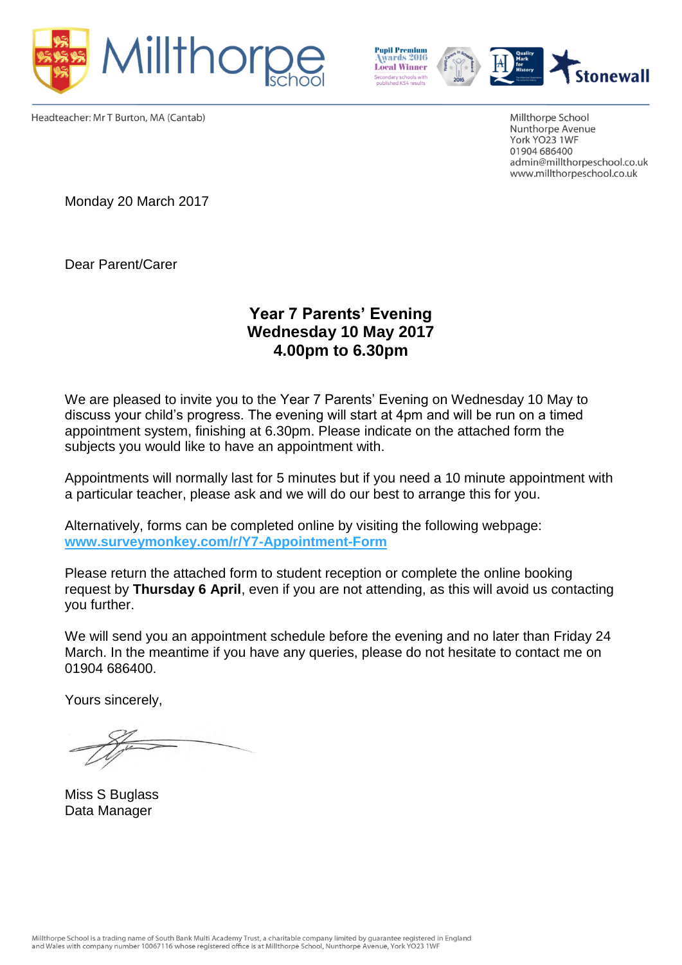



Headteacher: Mr T Burton, MA (Cantab)

Millthorpe School Nunthorpe Avenue York YO23 1WF 01904 686400 admin@millthorpeschool.co.uk www.millthorpeschool.co.uk

Monday 20 March 2017

Dear Parent/Carer

## **Year 7 Parents' Evening Wednesday 10 May 2017 4.00pm to 6.30pm**

We are pleased to invite you to the Year 7 Parents' Evening on Wednesday 10 May to discuss your child's progress. The evening will start at 4pm and will be run on a timed appointment system, finishing at 6.30pm. Please indicate on the attached form the subjects you would like to have an appointment with.

Appointments will normally last for 5 minutes but if you need a 10 minute appointment with a particular teacher, please ask and we will do our best to arrange this for you.

Alternatively, forms can be completed online by visiting the following webpage: **[www.surveymonkey.com/r/Y7-Appointment-Form](https://www.surveymonkey.com/r/Y7-Appointment-Form)**

Please return the attached form to student reception or complete the online booking request by **Thursday 6 April**, even if you are not attending, as this will avoid us contacting you further.

We will send you an appointment schedule before the evening and no later than Friday 24 March. In the meantime if you have any queries, please do not hesitate to contact me on 01904 686400.

Yours sincerely,

Miss S Buglass Data Manager